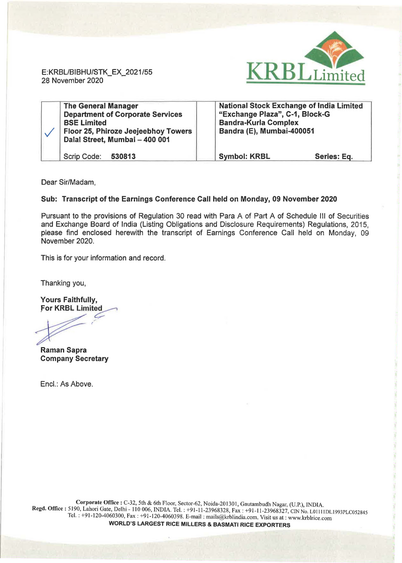

E:KRBL/BIBHU/STK\_EX\_2021/55 28 November 2020

| <b>The General Manager</b><br><b>Department of Corporate Services</b><br><b>BSE Limited</b><br>Floor 25, Phiroze Jeejeebhoy Towers<br>Dalal Street, Mumbai - 400 001 | <b>National Stock Exchange of India Limited</b><br>"Exchange Plaza", C-1, Block-G<br><b>Bandra-Kurla Complex</b><br>Bandra (E), Mumbai-400051 |             |
|----------------------------------------------------------------------------------------------------------------------------------------------------------------------|-----------------------------------------------------------------------------------------------------------------------------------------------|-------------|
| Scrip Code:<br>530813                                                                                                                                                | <b>Symbol: KRBL</b>                                                                                                                           | Series: Eq. |

Dear Sir/Madam,

## Sub: Transcript of the Earnings Conference Call held on Monday, 09 November 2020

Pursuant to the provisions of Regulation 30 read with Para A of Part A of Schedule Ill of Securities and Exchange Board of India (Listing Obligations and Disclosure Requirements) Regulations, 2015, please find enclosed herewith the transcript of Earnings Conference Call held on Monday, 09 November 2020.

This is for your information and record.

Thanking you,

Yours Faithfully, **For KRBL Limited** 

Raman Sapra

Company Secretary

Encl.: As Above.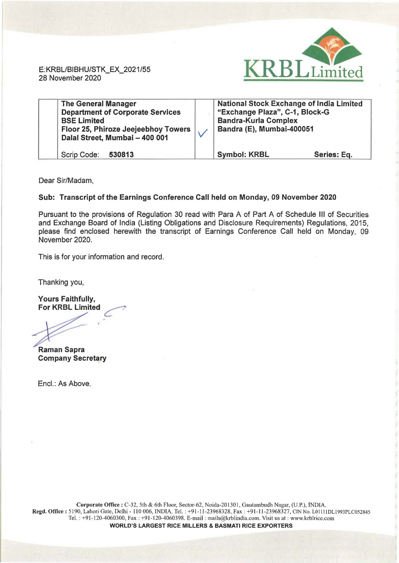

E: KRBL/BIBHU/STK\_EX\_2021 /55 28 November 2020

| <b>The General Manager</b><br><b>Department of Corporate Services</b><br><b>BSE Limited</b><br>Floor 25, Phiroze Jeejeebhoy Towers<br>Dalal Street, Mumbai - 400 001 | <b>National Stock Exchange of India Limited</b><br>"Exchange Plaza", C-1, Block-G<br><b>Bandra-Kurla Complex</b><br>Bandra (E), Mumbai-400051 |             |
|----------------------------------------------------------------------------------------------------------------------------------------------------------------------|-----------------------------------------------------------------------------------------------------------------------------------------------|-------------|
| Scrip Code:<br>530813                                                                                                                                                | <b>Symbol: KRBL</b>                                                                                                                           | Series: Eq. |

Dear Sir/Madam,

## Sub: Transcript of the Earnings Conference Call held on Monday, 09 November 2020

Pursuant to the provisions of Regulation 30 read with Para A of Part A of Schedule Ill of Securities and Exchange Board of India (Listing Obligations and Disclosure Requirements) Regulations, 2015, please find enclosed herewith the transcript of Earnings Conference Call held on Monday, 09 November 2020.

This is for your information and record.

Thanking you,

Yours Faithfully, For KRBL Limited

Raman Sapra Company Secretary

Encl.: As Above.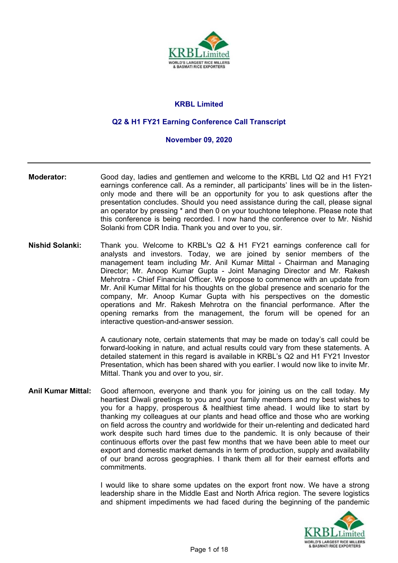

# **KRBL Limited**

## **Q2 & H1 FY21 Earning Conference Call Transcript**

#### **November 09, 2020**

- **Moderator:** Good day, ladies and gentlemen and welcome to the KRBL Ltd Q2 and H1 FY21 earnings conference call. As a reminder, all participants' lines will be in the listenonly mode and there will be an opportunity for you to ask questions after the presentation concludes. Should you need assistance during the call, please signal an operator by pressing \* and then 0 on your touchtone telephone. Please note that this conference is being recorded. I now hand the conference over to Mr. Nishid Solanki from CDR India. Thank you and over to you, sir.
- **Nishid Solanki:** Thank you. Welcome to KRBL's Q2 & H1 FY21 earnings conference call for analysts and investors. Today, we are joined by senior members of the management team including Mr. Anil Kumar Mittal - Chairman and Managing Director; Mr. Anoop Kumar Gupta - Joint Managing Director and Mr. Rakesh Mehrotra - Chief Financial Officer. We propose to commence with an update from Mr. Anil Kumar Mittal for his thoughts on the global presence and scenario for the company, Mr. Anoop Kumar Gupta with his perspectives on the domestic operations and Mr. Rakesh Mehrotra on the financial performance. After the opening remarks from the management, the forum will be opened for an interactive question-and-answer session.

A cautionary note, certain statements that may be made on today's call could be forward-looking in nature, and actual results could vary from these statements. A detailed statement in this regard is available in KRBL's Q2 and H1 FY21 Investor Presentation, which has been shared with you earlier. I would now like to invite Mr. Mittal. Thank you and over to you, sir.

**Anil Kumar Mittal:** Good afternoon, everyone and thank you for joining us on the call today. My heartiest Diwali greetings to you and your family members and my best wishes to you for a happy, prosperous & healthiest time ahead. I would like to start by thanking my colleagues at our plants and head office and those who are working on field across the country and worldwide for their un-relenting and dedicated hard work despite such hard times due to the pandemic. It is only because of their continuous efforts over the past few months that we have been able to meet our export and domestic market demands in term of production, supply and availability of our brand across geographies. I thank them all for their earnest efforts and commitments.

> I would like to share some updates on the export front now. We have a strong leadership share in the Middle East and North Africa region. The severe logistics and shipment impediments we had faced during the beginning of the pandemic

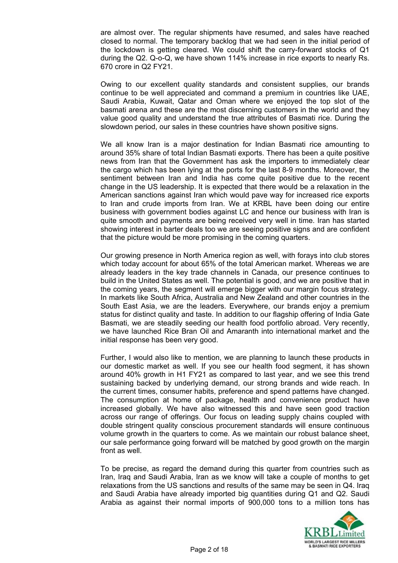are almost over. The regular shipments have resumed, and sales have reached closed to normal. The temporary backlog that we had seen in the initial period of the lockdown is getting cleared. We could shift the carry-forward stocks of Q1 during the Q2. Q-o-Q, we have shown 114% increase in rice exports to nearly Rs. 670 crore in Q2 FY21.

Owing to our excellent quality standards and consistent supplies, our brands continue to be well appreciated and command a premium in countries like UAE, Saudi Arabia, Kuwait, Qatar and Oman where we enjoyed the top slot of the basmati arena and these are the most discerning customers in the world and they value good quality and understand the true attributes of Basmati rice. During the slowdown period, our sales in these countries have shown positive signs.

We all know Iran is a major destination for Indian Basmati rice amounting to around 35% share of total Indian Basmati exports. There has been a quite positive news from Iran that the Government has ask the importers to immediately clear the cargo which has been lying at the ports for the last 8-9 months. Moreover, the sentiment between Iran and India has come quite positive due to the recent change in the US leadership. It is expected that there would be a relaxation in the American sanctions against Iran which would pave way for increased rice exports to Iran and crude imports from Iran. We at KRBL have been doing our entire business with government bodies against LC and hence our business with Iran is quite smooth and payments are being received very well in time. Iran has started showing interest in barter deals too we are seeing positive signs and are confident that the picture would be more promising in the coming quarters.

Our growing presence in North America region as well, with forays into club stores which today account for about 65% of the total American market. Whereas we are already leaders in the key trade channels in Canada, our presence continues to build in the United States as well. The potential is good, and we are positive that in the coming years, the segment will emerge bigger with our margin focus strategy. In markets like South Africa, Australia and New Zealand and other countries in the South East Asia, we are the leaders. Everywhere, our brands enjoy a premium status for distinct quality and taste. In addition to our flagship offering of India Gate Basmati, we are steadily seeding our health food portfolio abroad. Very recently, we have launched Rice Bran Oil and Amaranth into international market and the initial response has been very good.

Further, I would also like to mention, we are planning to launch these products in our domestic market as well. If you see our health food segment, it has shown around 40% growth in H1 FY21 as compared to last year, and we see this trend sustaining backed by underlying demand, our strong brands and wide reach. In the current times, consumer habits, preference and spend patterns have changed. The consumption at home of package, health and convenience product have increased globally. We have also witnessed this and have seen good traction across our range of offerings. Our focus on leading supply chains coupled with double stringent quality conscious procurement standards will ensure continuous volume growth in the quarters to come. As we maintain our robust balance sheet, our sale performance going forward will be matched by good growth on the margin front as well.

To be precise, as regard the demand during this quarter from countries such as Iran, Iraq and Saudi Arabia, Iran as we know will take a couple of months to get relaxations from the US sanctions and results of the same may be seen in Q4. Iraq and Saudi Arabia have already imported big quantities during Q1 and Q2. Saudi Arabia as against their normal imports of 900,000 tons to a million tons has

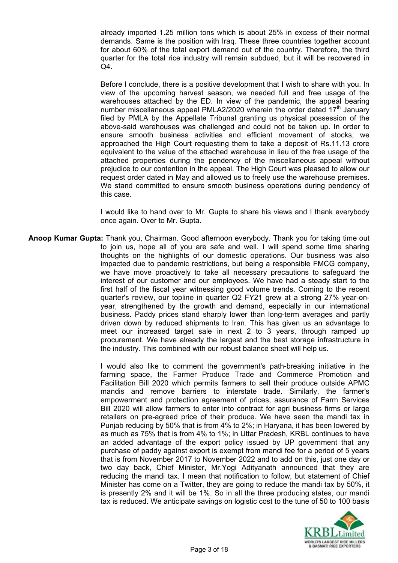already imported 1.25 million tons which is about 25% in excess of their normal demands. Same is the position with Iraq. These three countries together account for about 60% of the total export demand out of the country. Therefore, the third quarter for the total rice industry will remain subdued, but it will be recovered in Q4.

Before I conclude, there is a positive development that I wish to share with you. In view of the upcoming harvest season, we needed full and free usage of the warehouses attached by the ED. In view of the pandemic, the appeal bearing number miscellaneous appeal PMLA2/2020 wherein the order dated  $17<sup>th</sup>$  January filed by PMLA by the Appellate Tribunal granting us physical possession of the above-said warehouses was challenged and could not be taken up. In order to ensure smooth business activities and efficient movement of stocks, we approached the High Court requesting them to take a deposit of Rs.11.13 crore equivalent to the value of the attached warehouse in lieu of the free usage of the attached properties during the pendency of the miscellaneous appeal without prejudice to our contention in the appeal. The High Court was pleased to allow our request order dated in May and allowed us to freely use the warehouse premises. We stand committed to ensure smooth business operations during pendency of this case.

I would like to hand over to Mr. Gupta to share his views and I thank everybody once again. Over to Mr. Gupta.

**Anoop Kumar Gupta:** Thank you, Chairman. Good afternoon everybody. Thank you for taking time out to join us, hope all of you are safe and well. I will spend some time sharing thoughts on the highlights of our domestic operations. Our business was also impacted due to pandemic restrictions, but being a responsible FMCG company, we have move proactively to take all necessary precautions to safeguard the interest of our customer and our employees. We have had a steady start to the first half of the fiscal year witnessing good volume trends. Coming to the recent quarter's review, our topline in quarter Q2 FY21 grew at a strong 27% year-onyear, strengthened by the growth and demand, especially in our international business. Paddy prices stand sharply lower than long-term averages and partly driven down by reduced shipments to Iran. This has given us an advantage to meet our increased target sale in next 2 to 3 years, through ramped up procurement. We have already the largest and the best storage infrastructure in the industry. This combined with our robust balance sheet will help us.

> I would also like to comment the government's path-breaking initiative in the farming space, the Farmer Produce Trade and Commerce Promotion and Facilitation Bill 2020 which permits farmers to sell their produce outside APMC mandis and remove barriers to interstate trade. Similarly, the farmer's empowerment and protection agreement of prices, assurance of Farm Services Bill 2020 will allow farmers to enter into contract for agri business firms or large retailers on pre-agreed price of their produce. We have seen the mandi tax in Punjab reducing by 50% that is from 4% to 2%; in Haryana, it has been lowered by as much as 75% that is from 4% to 1%; in Uttar Pradesh, KRBL continues to have an added advantage of the export policy issued by UP government that any purchase of paddy against export is exempt from mandi fee for a period of 5 years that is from November 2017 to November 2022 and to add on this, just one day or two day back, Chief Minister, Mr.Yogi Adityanath announced that they are reducing the mandi tax. I mean that notification to follow, but statement of Chief Minister has come on a Twitter, they are going to reduce the mandi tax by 50%, it is presently 2% and it will be 1%. So in all the three producing states, our mandi tax is reduced. We anticipate savings on logistic cost to the tune of 50 to 100 basis

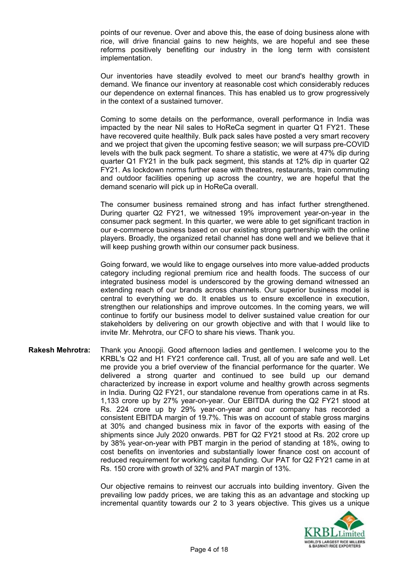points of our revenue. Over and above this, the ease of doing business alone with rice, will drive financial gains to new heights, we are hopeful and see these reforms positively benefiting our industry in the long term with consistent implementation.

Our inventories have steadily evolved to meet our brand's healthy growth in demand. We finance our inventory at reasonable cost which considerably reduces our dependence on external finances. This has enabled us to grow progressively in the context of a sustained turnover.

Coming to some details on the performance, overall performance in India was impacted by the near Nil sales to HoReCa segment in quarter Q1 FY21. These have recovered quite healthily. Bulk pack sales have posted a very smart recovery and we project that given the upcoming festive season; we will surpass pre-COVID levels with the bulk pack segment. To share a statistic, we were at 47% dip during quarter Q1 FY21 in the bulk pack segment, this stands at 12% dip in quarter Q2 FY21. As lockdown norms further ease with theatres, restaurants, train commuting and outdoor facilities opening up across the country, we are hopeful that the demand scenario will pick up in HoReCa overall.

The consumer business remained strong and has infact further strengthened. During quarter Q2 FY21, we witnessed 19% improvement year-on-year in the consumer pack segment. In this quarter, we were able to get significant traction in our e-commerce business based on our existing strong partnership with the online players. Broadly, the organized retail channel has done well and we believe that it will keep pushing growth within our consumer pack business.

Going forward, we would like to engage ourselves into more value-added products category including regional premium rice and health foods. The success of our integrated business model is underscored by the growing demand witnessed an extending reach of our brands across channels. Our superior business model is central to everything we do. It enables us to ensure excellence in execution, strengthen our relationships and improve outcomes. In the coming years, we will continue to fortify our business model to deliver sustained value creation for our stakeholders by delivering on our growth objective and with that I would like to invite Mr. Mehrotra, our CFO to share his views. Thank you.

**Rakesh Mehrotra:** Thank you Anoopji. Good afternoon ladies and gentlemen. I welcome you to the KRBL's Q2 and H1 FY21 conference call. Trust, all of you are safe and well. Let me provide you a brief overview of the financial performance for the quarter. We delivered a strong quarter and continued to see build up our demand characterized by increase in export volume and healthy growth across segments in India. During Q2 FY21, our standalone revenue from operations came in at Rs. 1,133 crore up by 27% year-on-year. Our EBITDA during the Q2 FY21 stood at Rs. 224 crore up by 29% year-on-year and our company has recorded a consistent EBITDA margin of 19.7%. This was on account of stable gross margins at 30% and changed business mix in favor of the exports with easing of the shipments since July 2020 onwards. PBT for Q2 FY21 stood at Rs. 202 crore up by 38% year-on-year with PBT margin in the period of standing at 18%, owing to cost benefits on inventories and substantially lower finance cost on account of reduced requirement for working capital funding. Our PAT for Q2 FY21 came in at Rs. 150 crore with growth of 32% and PAT margin of 13%.

> Our objective remains to reinvest our accruals into building inventory. Given the prevailing low paddy prices, we are taking this as an advantage and stocking up incremental quantity towards our 2 to 3 years objective. This gives us a unique

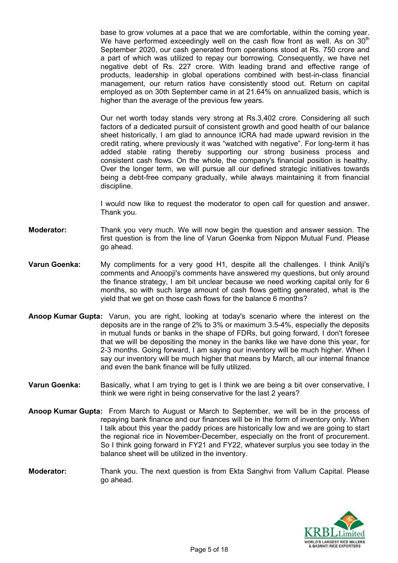base to grow volumes at a pace that we are comfortable, within the coming year. We have performed exceedingly well on the cash flow front as well. As on  $30<sup>th</sup>$ September 2020, our cash generated from operations stood at Rs. 750 crore and a part of which was utilized to repay our borrowing. Consequently, we have net negative debt of Rs. 227 crore. With leading brand and effective range of products, leadership in global operations combined with best-in-class financial management, our return ratios have consistently stood out. Return on capital employed as on 30th September came in at 21.64% on annualized basis, which is higher than the average of the previous few years.

Our net worth today stands very strong at Rs.3,402 crore. Considering all such factors of a dedicated pursuit of consistent growth and good health of our balance sheet historically, I am glad to announce ICRA had made upward revision in the credit rating, where previously it was "watched with negative". For long-term it has added stable rating thereby supporting our strong business process and consistent cash flows. On the whole, the company's financial position is healthy. Over the longer term, we will pursue all our defined strategic initiatives towards being a debt-free company gradually, while always maintaining it from financial discipline.

I would now like to request the moderator to open call for question and answer. Thank you.

- **Moderator:** Thank you very much. We will now begin the question and answer session. The first question is from the line of Varun Goenka from Nippon Mutual Fund. Please go ahead.
- **Varun Goenka:** My compliments for a very good H1, despite all the challenges. I think Anilji's comments and Anoopji's comments have answered my questions, but only around the finance strategy, I am bit unclear because we need working capital only for 6 months, so with such large amount of cash flows getting generated, what is the yield that we get on those cash flows for the balance 6 months?
- **Anoop Kumar Gupta:** Varun, you are right, looking at today's scenario where the interest on the deposits are in the range of 2% to 3% or maximum 3.5-4%, especially the deposits in mutual funds or banks in the shape of FDRs, but going forward, I don't foresee that we will be depositing the money in the banks like we have done this year, for 2-3 months. Going forward, I am saying our inventory will be much higher. When I say our inventory will be much higher that means by March, all our internal finance and even the bank finance will be fully utilized.
- **Varun Goenka:** Basically, what I am trying to get is I think we are being a bit over conservative, I think we were right in being conservative for the last 2 years?
- **Anoop Kumar Gupta:** From March to August or March to September, we will be in the process of repaying bank finance and our finances will be in the form of inventory only. When I talk about this year the paddy prices are historically low and we are going to start the regional rice in November-December, especially on the front of procurement. So I think going forward in FY21 and FY22, whatever surplus you see today in the balance sheet will be utilized in the inventory.
- **Moderator:** Thank you. The next question is from Ekta Sanghvi from Vallum Capital. Please go ahead.

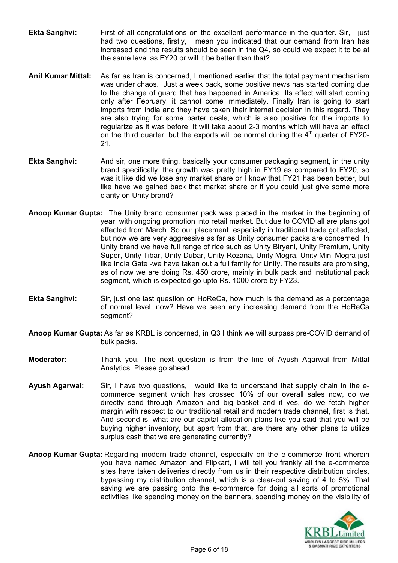- **Ekta Sanghvi:** First of all congratulations on the excellent performance in the quarter. Sir, I just had two questions, firstly, I mean you indicated that our demand from Iran has increased and the results should be seen in the Q4, so could we expect it to be at the same level as FY20 or will it be better than that?
- **Anil Kumar Mittal:** As far as Iran is concerned, I mentioned earlier that the total payment mechanism was under chaos. Just a week back, some positive news has started coming due to the change of guard that has happened in America. Its effect will start coming only after February, it cannot come immediately. Finally Iran is going to start imports from India and they have taken their internal decision in this regard. They are also trying for some barter deals, which is also positive for the imports to regularize as it was before. It will take about 2-3 months which will have an effect on the third quarter, but the exports will be normal during the  $4<sup>th</sup>$  quarter of FY20-21.
- **Ekta Sanghvi:** And sir, one more thing, basically your consumer packaging segment, in the unity brand specifically, the growth was pretty high in FY19 as compared to FY20, so was it like did we lose any market share or I know that FY21 has been better, but like have we gained back that market share or if you could just give some more clarity on Unity brand?
- **Anoop Kumar Gupta:** The Unity brand consumer pack was placed in the market in the beginning of year, with ongoing promotion into retail market. But due to COVID all are plans got affected from March. So our placement, especially in traditional trade got affected, but now we are very aggressive as far as Unity consumer packs are concerned. In Unity brand we have full range of rice such as Unity Biryani, Unity Premium, Unity Super, Unity Tibar, Unity Dubar, Unity Rozana, Unity Mogra, Unity Mini Mogra just like India Gate -we have taken out a full family for Unity. The results are promising, as of now we are doing Rs. 450 crore, mainly in bulk pack and institutional pack segment, which is expected go upto Rs. 1000 crore by FY23.
- **Ekta Sanghvi:** Sir, just one last question on HoReCa, how much is the demand as a percentage of normal level, now? Have we seen any increasing demand from the HoReCa segment?
- **Anoop Kumar Gupta:** As far as KRBL is concerned, in Q3 I think we will surpass pre-COVID demand of bulk packs.
- **Moderator:** Thank you. The next question is from the line of Ayush Agarwal from Mittal Analytics. Please go ahead.
- **Ayush Agarwal:** Sir, I have two questions, I would like to understand that supply chain in the ecommerce segment which has crossed 10% of our overall sales now, do we directly send through Amazon and big basket and if yes, do we fetch higher margin with respect to our traditional retail and modern trade channel, first is that. And second is, what are our capital allocation plans like you said that you will be buying higher inventory, but apart from that, are there any other plans to utilize surplus cash that we are generating currently?
- **Anoop Kumar Gupta:** Regarding modern trade channel, especially on the e-commerce front wherein you have named Amazon and Flipkart, I will tell you frankly all the e-commerce sites have taken deliveries directly from us in their respective distribution circles, bypassing my distribution channel, which is a clear-cut saving of 4 to 5%. That saving we are passing onto the e-commerce for doing all sorts of promotional activities like spending money on the banners, spending money on the visibility of

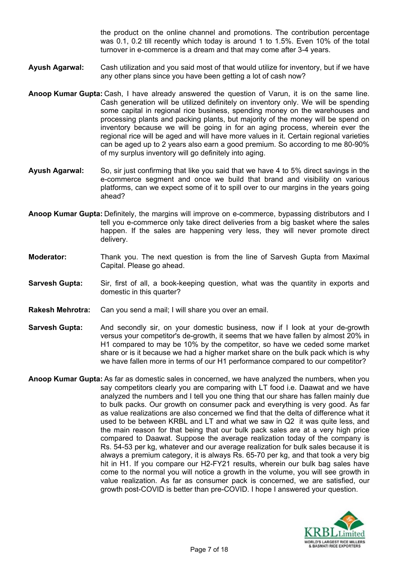the product on the online channel and promotions. The contribution percentage was 0.1, 0.2 till recently which today is around 1 to 1.5%. Even 10% of the total turnover in e-commerce is a dream and that may come after 3-4 years.

- **Ayush Agarwal:** Cash utilization and you said most of that would utilize for inventory, but if we have any other plans since you have been getting a lot of cash now?
- **Anoop Kumar Gupta:** Cash, I have already answered the question of Varun, it is on the same line. Cash generation will be utilized definitely on inventory only. We will be spending some capital in regional rice business, spending money on the warehouses and processing plants and packing plants, but majority of the money will be spend on inventory because we will be going in for an aging process, wherein ever the regional rice will be aged and will have more values in it. Certain regional varieties can be aged up to 2 years also earn a good premium. So according to me 80-90% of my surplus inventory will go definitely into aging.
- **Ayush Agarwal:** So, sir just confirming that like you said that we have 4 to 5% direct savings in the e-commerce segment and once we build that brand and visibility on various platforms, can we expect some of it to spill over to our margins in the years going ahead?
- **Anoop Kumar Gupta:** Definitely, the margins will improve on e-commerce, bypassing distributors and I tell you e-commerce only take direct deliveries from a big basket where the sales happen. If the sales are happening very less, they will never promote direct delivery.
- **Moderator:** Thank you. The next question is from the line of Sarvesh Gupta from Maximal Capital. Please go ahead.
- **Sarvesh Gupta:** Sir, first of all, a book-keeping question, what was the quantity in exports and domestic in this quarter?
- **Rakesh Mehrotra:** Can you send a mail; I will share you over an email.
- **Sarvesh Gupta:** And secondly sir, on your domestic business, now if I look at your de-growth versus your competitor's de-growth, it seems that we have fallen by almost 20% in H1 compared to may be 10% by the competitor, so have we ceded some market share or is it because we had a higher market share on the bulk pack which is why we have fallen more in terms of our H1 performance compared to our competitor?
- **Anoop Kumar Gupta:** As far as domestic sales in concerned, we have analyzed the numbers, when you say competitors clearly you are comparing with LT food i.e. Daawat and we have analyzed the numbers and I tell you one thing that our share has fallen mainly due to bulk packs. Our growth on consumer pack and everything is very good. As far as value realizations are also concerned we find that the delta of difference what it used to be between KRBL and LT and what we saw in Q2 it was quite less, and the main reason for that being that our bulk pack sales are at a very high price compared to Daawat. Suppose the average realization today of the company is Rs. 54-53 per kg, whatever and our average realization for bulk sales because it is always a premium category, it is always Rs. 65-70 per kg, and that took a very big hit in H1. If you compare our H2-FY21 results, wherein our bulk bag sales have come to the normal you will notice a growth in the volume, you will see growth in value realization. As far as consumer pack is concerned, we are satisfied, our growth post-COVID is better than pre-COVID. I hope I answered your question.

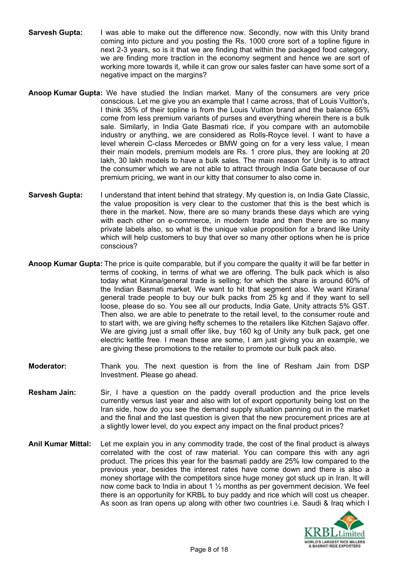- **Sarvesh Gupta:** I was able to make out the difference now. Secondly, now with this Unity brand coming into picture and you posting the Rs. 1000 crore sort of a topline figure in next 2-3 years, so is it that we are finding that within the packaged food category, we are finding more traction in the economy segment and hence we are sort of working more towards it, while it can grow our sales faster can have some sort of a negative impact on the margins?
- **Anoop Kumar Gupta:** We have studied the Indian market. Many of the consumers are very price conscious. Let me give you an example that I came across, that of Louis Vuitton's, I think 35% of their topline is from the Louis Vuitton brand and the balance 65% come from less premium variants of purses and everything wherein there is a bulk sale. Similarly, in India Gate Basmati rice, if you compare with an automobile industry or anything, we are considered as Rolls-Royce level. I want to have a level wherein C-class Mercedes or BMW going on for a very less value, I mean their main models, premium models are Rs. 1 crore plus, they are looking at 20 lakh, 30 lakh models to have a bulk sales. The main reason for Unity is to attract the consumer which we are not able to attract through India Gate because of our premium pricing, we want in our kitty that consumer to also come in.
- **Sarvesh Gupta:** I understand that intent behind that strategy. My question is, on India Gate Classic, the value proposition is very clear to the customer that this is the best which is there in the market. Now, there are so many brands these days which are vying with each other on e-commerce, in modern trade and then there are so many private labels also, so what is the unique value proposition for a brand like Unity which will help customers to buy that over so many other options when he is price conscious?
- **Anoop Kumar Gupta:** The price is quite comparable, but if you compare the quality it will be far better in terms of cooking, in terms of what we are offering. The bulk pack which is also today what Kirana/general trade is selling; for which the share is around 60% of the Indian Basmati market. We want to hit that segment also. We want Kirana/ general trade people to buy our bulk packs from 25 kg and if they want to sell loose, please do so. You see all our products, India Gate, Unity attracts 5% GST. Then also, we are able to penetrate to the retail level, to the consumer route and to start with, we are giving hefty schemes to the retailers like Kitchen Sajavo offer. We are giving just a small offer like, buy 160 kg of Unity any bulk pack, get one electric kettle free. I mean these are some, I am just giving you an example, we are giving these promotions to the retailer to promote our bulk pack also.
- **Moderator:** Thank you. The next question is from the line of Resham Jain from DSP Investment. Please go ahead.
- **Resham Jain:** Sir, I have a question on the paddy overall production and the price levels currently versus last year and also with lot of export opportunity being lost on the Iran side, how do you see the demand supply situation panning out in the market and the final and the last question is given that the new procurement prices are at a slightly lower level, do you expect any impact on the final product prices?
- **Anil Kumar Mittal:** Let me explain you in any commodity trade, the cost of the final product is always correlated with the cost of raw material. You can compare this with any agri product. The prices this year for the basmati paddy are 25% low compared to the previous year, besides the interest rates have come down and there is also a money shortage with the competitors since huge money got stuck up in Iran. It will now come back to India in about 1 ½ months as per government decision. We feel there is an opportunity for KRBL to buy paddy and rice which will cost us cheaper. As soon as Iran opens up along with other two countries i.e. Saudi & Iraq which I

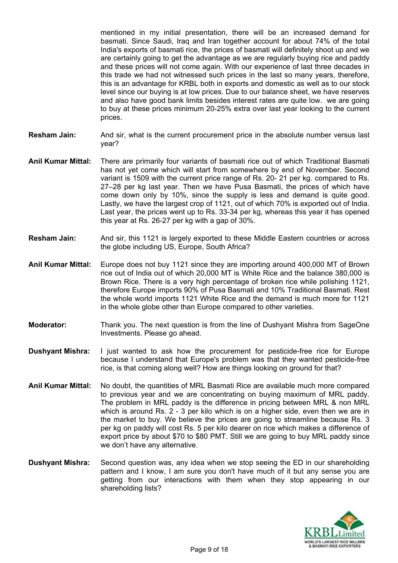mentioned in my initial presentation, there will be an increased demand for basmati. Since Saudi, Iraq and Iran together account for about 74% of the total India's exports of basmati rice, the prices of basmati will definitely shoot up and we are certainly going to get the advantage as we are regularly buying rice and paddy and these prices will not come again. With our experience of last three decades in this trade we had not witnessed such prices in the last so many years, therefore, this is an advantage for KRBL both in exports and domestic as well as to our stock level since our buying is at low prices. Due to our balance sheet, we have reserves and also have good bank limits besides interest rates are quite low. we are going to buy at these prices minimum 20-25% extra over last year looking to the current prices.

- **Resham Jain:** And sir, what is the current procurement price in the absolute number versus last year?
- **Anil Kumar Mittal:** There are primarily four variants of basmati rice out of which Traditional Basmati has not yet come which will start from somewhere by end of November. Second variant is 1509 with the current price range of Rs. 20- 21 per kg. compared to Rs. 27–28 per kg last year. Then we have Pusa Basmati, the prices of which have come down only by 10%, since the supply is less and demand is quite good. Lastly, we have the largest crop of 1121, out of which 70% is exported out of India. Last year, the prices went up to Rs. 33-34 per kg, whereas this year it has opened this year at Rs. 26-27 per kg with a gap of 30%.
- **Resham Jain:** And sir, this 1121 is largely exported to these Middle Eastern countries or across the globe including US, Europe, South Africa?
- **Anil Kumar Mittal:** Europe does not buy 1121 since they are importing around 400,000 MT of Brown rice out of India out of which 20,000 MT is White Rice and the balance 380,000 is Brown Rice. There is a very high percentage of broken rice while polishing 1121, therefore Europe imports 90% of Pusa Basmati and 10% Traditional Basmati. Rest the whole world imports 1121 White Rice and the demand is much more for 1121 in the whole globe other than Europe compared to other varieties.
- **Moderator:** Thank you. The next question is from the line of Dushyant Mishra from SageOne Investments. Please go ahead.
- **Dushyant Mishra:** I just wanted to ask how the procurement for pesticide-free rice for Europe because I understand that Europe's problem was that they wanted pesticide-free rice, is that coming along well? How are things looking on ground for that?
- **Anil Kumar Mittal:** No doubt, the quantities of MRL Basmati Rice are available much more compared to previous year and we are concentrating on buying maximum of MRL paddy. The problem in MRL paddy is the difference in pricing between MRL & non MRL which is around Rs. 2 - 3 per kilo which is on a higher side, even then we are in the market to buy. We believe the prices are going to streamline because Rs. 3 per kg on paddy will cost Rs. 5 per kilo dearer on rice which makes a difference of export price by about \$70 to \$80 PMT. Still we are going to buy MRL paddy since we don't have any alternative.
- **Dushyant Mishra:** Second question was, any idea when we stop seeing the ED in our shareholding pattern and I know, I am sure you don't have much of it but any sense you are getting from our interactions with them when they stop appearing in our shareholding lists?

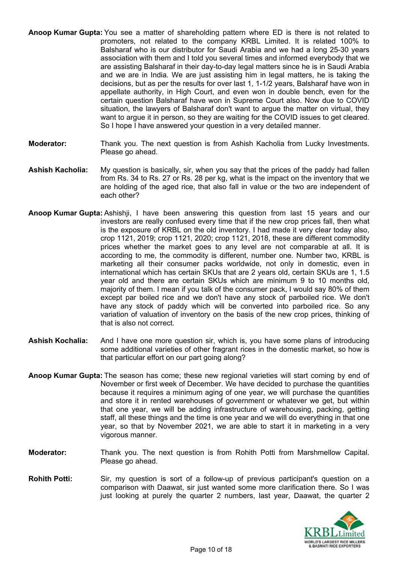- **Anoop Kumar Gupta:** You see a matter of shareholding pattern where ED is there is not related to promoters, not related to the company KRBL Limited. It is related 100% to Balsharaf who is our distributor for Saudi Arabia and we had a long 25-30 years association with them and I told you several times and informed everybody that we are assisting Balsharaf in their day-to-day legal matters since he is in Saudi Arabia and we are in India. We are just assisting him in legal matters, he is taking the decisions, but as per the results for over last 1, 1-1/2 years, Balsharaf have won in appellate authority, in High Court, and even won in double bench, even for the certain question Balsharaf have won in Supreme Court also. Now due to COVID situation, the lawyers of Balsharaf don't want to argue the matter on virtual, they want to argue it in person, so they are waiting for the COVID issues to get cleared. So I hope I have answered your question in a very detailed manner.
- **Moderator:** Thank you. The next question is from Ashish Kacholia from Lucky Investments. Please go ahead.
- **Ashish Kacholia:** My question is basically, sir, when you say that the prices of the paddy had fallen from Rs. 34 to Rs. 27 or Rs. 28 per kg, what is the impact on the inventory that we are holding of the aged rice, that also fall in value or the two are independent of each other?
- **Anoop Kumar Gupta:** Ashishji, I have been answering this question from last 15 years and our investors are really confused every time that if the new crop prices fall, then what is the exposure of KRBL on the old inventory. I had made it very clear today also, crop 1121, 2019; crop 1121, 2020; crop 1121, 2018, these are different commodity prices whether the market goes to any level are not comparable at all. It is according to me, the commodity is different, number one. Number two, KRBL is marketing all their consumer packs worldwide, not only in domestic, even in international which has certain SKUs that are 2 years old, certain SKUs are 1, 1.5 year old and there are certain SKUs which are minimum 9 to 10 months old, majority of them. I mean if you talk of the consumer pack, I would say 80% of them except par boiled rice and we don't have any stock of parboiled rice. We don't have any stock of paddy which will be converted into parboiled rice. So any variation of valuation of inventory on the basis of the new crop prices, thinking of that is also not correct.
- **Ashish Kochalia:** And I have one more question sir, which is, you have some plans of introducing some additional varieties of other fragrant rices in the domestic market, so how is that particular effort on our part going along?
- **Anoop Kumar Gupta:** The season has come; these new regional varieties will start coming by end of November or first week of December. We have decided to purchase the quantities because it requires a minimum aging of one year, we will purchase the quantities and store it in rented warehouses of government or whatever we get, but within that one year, we will be adding infrastructure of warehousing, packing, getting staff, all these things and the time is one year and we will do everything in that one year, so that by November 2021, we are able to start it in marketing in a very vigorous manner.
- **Moderator:** Thank you. The next question is from Rohith Potti from Marshmellow Capital. Please go ahead.
- **Rohith Potti:** Sir, my question is sort of a follow-up of previous participant's question on a comparison with Daawat, sir just wanted some more clarification there. So I was just looking at purely the quarter 2 numbers, last year, Daawat, the quarter 2

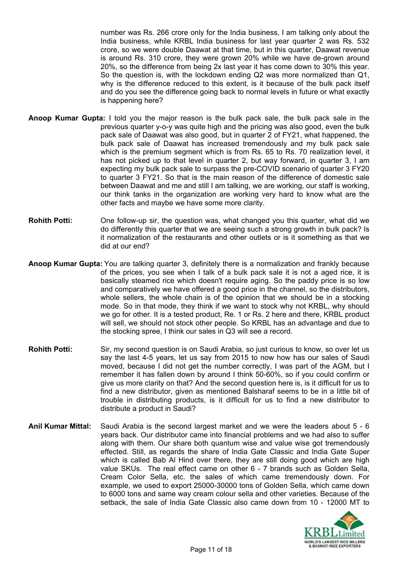number was Rs. 266 crore only for the India business, I am talking only about the India business, while KRBL India business for last year quarter 2 was Rs. 532 crore, so we were double Daawat at that time, but in this quarter, Daawat revenue is around Rs. 310 crore, they were grown 20% while we have de-grown around 20%, so the difference from being 2x last year it has come down to 30% this year. So the question is, with the lockdown ending Q2 was more normalized than Q1, why is the difference reduced to this extent, is it because of the bulk pack itself and do you see the difference going back to normal levels in future or what exactly is happening here?

- **Anoop Kumar Gupta:** I told you the major reason is the bulk pack sale, the bulk pack sale in the previous quarter y-o-y was quite high and the pricing was also good, even the bulk pack sale of Daawat was also good, but in quarter 2 of FY21, what happened, the bulk pack sale of Daawat has increased tremendously and my bulk pack sale which is the premium segment which is from Rs. 65 to Rs. 70 realization level, it has not picked up to that level in quarter 2, but way forward, in quarter 3, I am expecting my bulk pack sale to surpass the pre-COVID scenario of quarter 3 FY20 to quarter 3 FY21. So that is the main reason of the difference of domestic sale between Daawat and me and still I am talking, we are working, our staff is working, our think tanks in the organization are working very hard to know what are the other facts and maybe we have some more clarity.
- **Rohith Potti:** One follow-up sir, the question was, what changed you this quarter, what did we do differently this quarter that we are seeing such a strong growth in bulk pack? Is it normalization of the restaurants and other outlets or is it something as that we did at our end?
- **Anoop Kumar Gupta:** You are talking quarter 3, definitely there is a normalization and frankly because of the prices, you see when I talk of a bulk pack sale it is not a aged rice, it is basically steamed rice which doesn't require aging. So the paddy price is so low and comparatively we have offered a good price in the channel, so the distributors, whole sellers, the whole chain is of the opinion that we should be in a stocking mode. So in that mode, they think if we want to stock why not KRBL, why should we go for other. It is a tested product, Re. 1 or Rs. 2 here and there, KRBL product will sell, we should not stock other people. So KRBL has an advantage and due to the stocking spree, I think our sales in Q3 will see a record.
- **Rohith Potti:** Sir, my second question is on Saudi Arabia, so just curious to know, so over let us say the last 4-5 years, let us say from 2015 to now how has our sales of Saudi moved, because I did not get the number correctly, I was part of the AGM, but I remember it has fallen down by around I think 50-60%, so if you could confirm or give us more clarity on that? And the second question here is, is it difficult for us to find a new distributor, given as mentioned Balsharaf seems to be in a little bit of trouble in distributing products, is it difficult for us to find a new distributor to distribute a product in Saudi?
- **Anil Kumar Mittal:** Saudi Arabia is the second largest market and we were the leaders about 5 6 years back. Our distributor came into financial problems and we had also to suffer along with them. Our share both quantum wise and value wise got tremendously effected. Still, as regards the share of India Gate Classic and India Gate Super which is called Bab Al Hind over there, they are still doing good which are high value SKUs. The real effect came on other 6 - 7 brands such as Golden Sella, Cream Color Sella, etc. the sales of which came tremendously down. For example, we used to export 25000-30000 tons of Golden Sella, which came down to 6000 tons and same way cream colour sella and other varieties. Because of the setback, the sale of India Gate Classic also came down from 10 - 12000 MT to

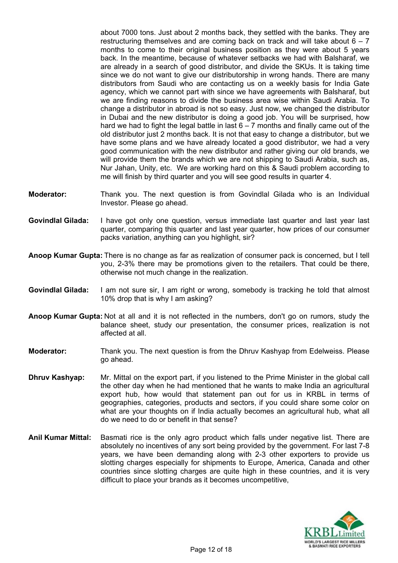about 7000 tons. Just about 2 months back, they settled with the banks. They are restructuring themselves and are coming back on track and will take about  $6 - 7$ months to come to their original business position as they were about 5 years back. In the meantime, because of whatever setbacks we had with Balsharaf, we are already in a search of good distributor, and divide the SKUs. It is taking time since we do not want to give our distributorship in wrong hands. There are many distributors from Saudi who are contacting us on a weekly basis for India Gate agency, which we cannot part with since we have agreements with Balsharaf, but we are finding reasons to divide the business area wise within Saudi Arabia. To change a distributor in abroad is not so easy. Just now, we changed the distributor in Dubai and the new distributor is doing a good job. You will be surprised, how hard we had to fight the legal battle in last  $6 - 7$  months and finally came out of the old distributor just 2 months back. It is not that easy to change a distributor, but we have some plans and we have already located a good distributor, we had a very good communication with the new distributor and rather giving our old brands, we will provide them the brands which we are not shipping to Saudi Arabia, such as, Nur Jahan, Unity, etc. We are working hard on this & Saudi problem according to me will finish by third quarter and you will see good results in quarter 4.

- **Moderator:** Thank you. The next question is from Govindlal Gilada who is an Individual Investor. Please go ahead.
- **Govindlal Gilada:** I have got only one question, versus immediate last quarter and last year last quarter, comparing this quarter and last year quarter, how prices of our consumer packs variation, anything can you highlight, sir?
- **Anoop Kumar Gupta:** There is no change as far as realization of consumer pack is concerned, but I tell you, 2-3% there may be promotions given to the retailers. That could be there, otherwise not much change in the realization.
- **Govindlal Gilada:** I am not sure sir, I am right or wrong, somebody is tracking he told that almost 10% drop that is why I am asking?
- **Anoop Kumar Gupta:** Not at all and it is not reflected in the numbers, don't go on rumors, study the balance sheet, study our presentation, the consumer prices, realization is not affected at all.
- **Moderator:** Thank you. The next question is from the Dhruv Kashyap from Edelweiss. Please go ahead.
- **Dhruv Kashyap:** Mr. Mittal on the export part, if you listened to the Prime Minister in the global call the other day when he had mentioned that he wants to make India an agricultural export hub, how would that statement pan out for us in KRBL in terms of geographies, categories, products and sectors, if you could share some color on what are your thoughts on if India actually becomes an agricultural hub, what all do we need to do or benefit in that sense?
- **Anil Kumar Mittal:** Basmati rice is the only agro product which falls under negative list. There are absolutely no incentives of any sort being provided by the government. For last 7-8 years, we have been demanding along with 2-3 other exporters to provide us slotting charges especially for shipments to Europe, America, Canada and other countries since slotting charges are quite high in these countries, and it is very difficult to place your brands as it becomes uncompetitive,

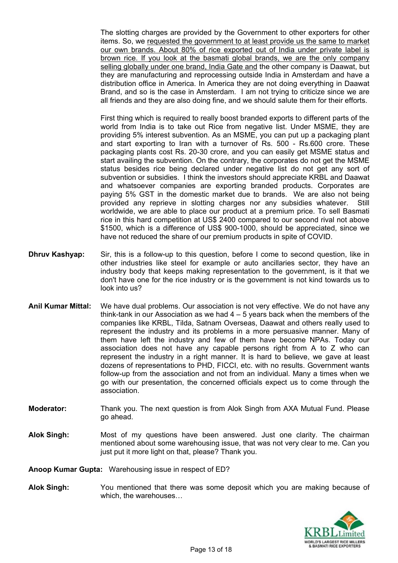The slotting charges are provided by the Government to other exporters for other items. So, we requested the government to at least provide us the same to market our own brands. About 80% of rice exported out of India under private label is brown rice. If you look at the basmati global brands, we are the only company selling globally under one brand, India Gate and the other company is Daawat, but they are manufacturing and reprocessing outside India in Amsterdam and have a distribution office in America. In America they are not doing everything in Daawat Brand, and so is the case in Amsterdam. I am not trying to criticize since we are all friends and they are also doing fine, and we should salute them for their efforts.

First thing which is required to really boost branded exports to different parts of the world from India is to take out Rice from negative list. Under MSME, they are providing 5% interest subvention. As an MSME, you can put up a packaging plant and start exporting to Iran with a turnover of Rs. 500 - Rs.600 crore. These packaging plants cost Rs. 20-30 crore, and you can easily get MSME status and start availing the subvention. On the contrary, the corporates do not get the MSME status besides rice being declared under negative list do not get any sort of subvention or subsidies. I think the investors should appreciate KRBL and Daawat and whatsoever companies are exporting branded products. Corporates are paying 5% GST in the domestic market due to brands. We are also not being provided any reprieve in slotting charges nor any subsidies whatever. Still worldwide, we are able to place our product at a premium price. To sell Basmati rice in this hard competition at US\$ 2400 compared to our second rival not above \$1500, which is a difference of US\$ 900-1000, should be appreciated, since we have not reduced the share of our premium products in spite of COVID.

- **Dhruv Kashyap:** Sir, this is a follow-up to this question, before I come to second question, like in other industries like steel for example or auto ancillaries sector, they have an industry body that keeps making representation to the government, is it that we don't have one for the rice industry or is the government is not kind towards us to look into us?
- **Anil Kumar Mittal:** We have dual problems. Our association is not very effective. We do not have any think-tank in our Association as we had  $4 - 5$  years back when the members of the companies like KRBL, Tilda, Satnam Overseas, Daawat and others really used to represent the industry and its problems in a more persuasive manner. Many of them have left the industry and few of them have become NPAs. Today our association does not have any capable persons right from A to Z who can represent the industry in a right manner. It is hard to believe, we gave at least dozens of representations to PHD, FICCI, etc. with no results. Government wants follow-up from the association and not from an individual. Many a times when we go with our presentation, the concerned officials expect us to come through the association.
- **Moderator:** Thank you. The next question is from Alok Singh from AXA Mutual Fund. Please go ahead.
- **Alok Singh:** Most of my questions have been answered. Just one clarity. The chairman mentioned about some warehousing issue, that was not very clear to me. Can you just put it more light on that, please? Thank you.

**Anoop Kumar Gupta:** Warehousing issue in respect of ED?

**Alok Singh:** You mentioned that there was some deposit which you are making because of which, the warehouses…

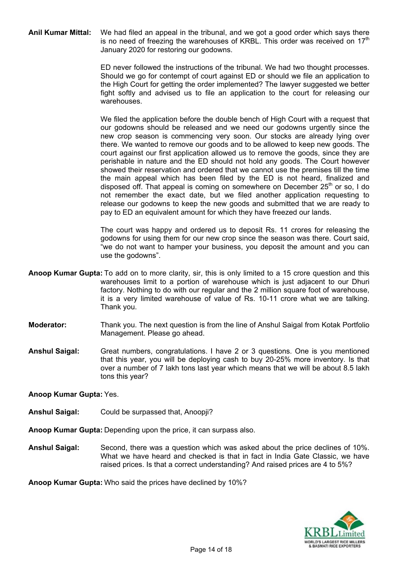**Anil Kumar Mittal:** We had filed an appeal in the tribunal, and we got a good order which says there is no need of freezing the warehouses of KRBL. This order was received on  $17<sup>th</sup>$ January 2020 for restoring our godowns.

> ED never followed the instructions of the tribunal. We had two thought processes. Should we go for contempt of court against ED or should we file an application to the High Court for getting the order implemented? The lawyer suggested we better fight softly and advised us to file an application to the court for releasing our warehouses.

> We filed the application before the double bench of High Court with a request that our godowns should be released and we need our godowns urgently since the new crop season is commencing very soon. Our stocks are already lying over there. We wanted to remove our goods and to be allowed to keep new goods. The court against our first application allowed us to remove the goods, since they are perishable in nature and the ED should not hold any goods. The Court however showed their reservation and ordered that we cannot use the premises till the time the main appeal which has been filed by the ED is not heard, finalized and disposed off. That appeal is coming on somewhere on December  $25<sup>th</sup>$  or so, I do not remember the exact date, but we filed another application requesting to release our godowns to keep the new goods and submitted that we are ready to pay to ED an equivalent amount for which they have freezed our lands.

> The court was happy and ordered us to deposit Rs. 11 crores for releasing the godowns for using them for our new crop since the season was there. Court said, "we do not want to hamper your business, you deposit the amount and you can use the godowns".

- **Anoop Kumar Gupta:** To add on to more clarity, sir, this is only limited to a 15 crore question and this warehouses limit to a portion of warehouse which is just adjacent to our Dhuri factory. Nothing to do with our regular and the 2 million square foot of warehouse, it is a very limited warehouse of value of Rs. 10-11 crore what we are talking. Thank you.
- **Moderator:** Thank you. The next question is from the line of Anshul Saigal from Kotak Portfolio Management. Please go ahead.
- **Anshul Saigal:** Great numbers, congratulations. I have 2 or 3 questions. One is you mentioned that this year, you will be deploying cash to buy 20-25% more inventory. Is that over a number of 7 lakh tons last year which means that we will be about 8.5 lakh tons this year?

**Anoop Kumar Gupta:** Yes.

- **Anshul Saigal:** Could be surpassed that, Anoopji?
- **Anoop Kumar Gupta:** Depending upon the price, it can surpass also.
- **Anshul Saigal:** Second, there was a question which was asked about the price declines of 10%. What we have heard and checked is that in fact in India Gate Classic, we have raised prices. Is that a correct understanding? And raised prices are 4 to 5%?

**Anoop Kumar Gupta:** Who said the prices have declined by 10%?

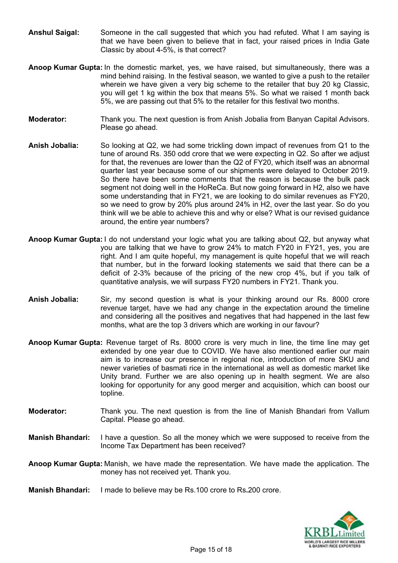- **Anshul Saigal:** Someone in the call suggested that which you had refuted. What I am saying is that we have been given to believe that in fact, your raised prices in India Gate Classic by about 4-5%, is that correct?
- **Anoop Kumar Gupta:** In the domestic market, yes, we have raised, but simultaneously, there was a mind behind raising. In the festival season, we wanted to give a push to the retailer wherein we have given a very big scheme to the retailer that buy 20 kg Classic, you will get 1 kg within the box that means 5%. So what we raised 1 month back 5%, we are passing out that 5% to the retailer for this festival two months.
- **Moderator:** Thank you. The next question is from Anish Jobalia from Banyan Capital Advisors. Please go ahead.
- **Anish Jobalia:** So looking at Q2, we had some trickling down impact of revenues from Q1 to the tune of around Rs. 350 odd crore that we were expecting in Q2. So after we adjust for that, the revenues are lower than the Q2 of FY20, which itself was an abnormal quarter last year because some of our shipments were delayed to October 2019. So there have been some comments that the reason is because the bulk pack segment not doing well in the HoReCa. But now going forward in H2, also we have some understanding that in FY21, we are looking to do similar revenues as FY20, so we need to grow by 20% plus around 24% in H2, over the last year. So do you think will we be able to achieve this and why or else? What is our revised guidance around, the entire year numbers?
- **Anoop Kumar Gupta:** I do not understand your logic what you are talking about Q2, but anyway what you are talking that we have to grow 24% to match FY20 in FY21, yes, you are right. And I am quite hopeful, my management is quite hopeful that we will reach that number, but in the forward looking statements we said that there can be a deficit of 2-3% because of the pricing of the new crop 4%, but if you talk of quantitative analysis, we will surpass FY20 numbers in FY21. Thank you.
- **Anish Jobalia:** Sir, my second question is what is your thinking around our Rs. 8000 crore revenue target, have we had any change in the expectation around the timeline and considering all the positives and negatives that had happened in the last few months, what are the top 3 drivers which are working in our favour?
- **Anoop Kumar Gupta:** Revenue target of Rs. 8000 crore is very much in line, the time line may get extended by one year due to COVID. We have also mentioned earlier our main aim is to increase our presence in regional rice, introduction of more SKU and newer varieties of basmati rice in the international as well as domestic market like Unity brand. Further we are also opening up in health segment. We are also looking for opportunity for any good merger and acquisition, which can boost our topline.
- **Moderator:** Thank you. The next question is from the line of Manish Bhandari from Vallum Capital. Please go ahead.
- **Manish Bhandari:** I have a question. So all the money which we were supposed to receive from the Income Tax Department has been received?
- **Anoop Kumar Gupta:** Manish, we have made the representation. We have made the application. The money has not received yet. Thank you.
- **Manish Bhandari:** I made to believe may be Rs.100 crore to Rs**.**200 crore.

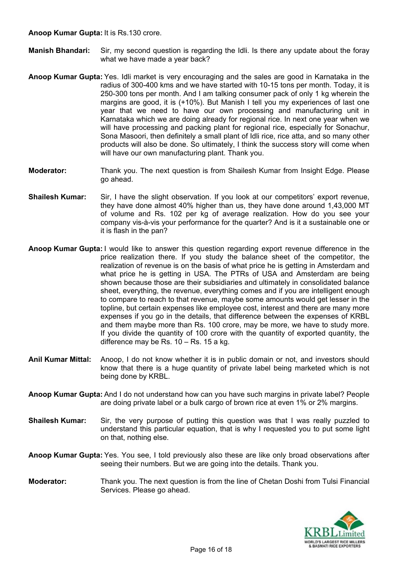**Anoop Kumar Gupta:** It is Rs.130 crore.

- **Manish Bhandari:** Sir, my second question is regarding the Idli. Is there any update about the foray what we have made a year back?
- **Anoop Kumar Gupta:** Yes. Idli market is very encouraging and the sales are good in Karnataka in the radius of 300-400 kms and we have started with 10-15 tons per month. Today, it is 250-300 tons per month. And I am talking consumer pack of only 1 kg wherein the margins are good, it is (+10%). But Manish I tell you my experiences of last one year that we need to have our own processing and manufacturing unit in Karnataka which we are doing already for regional rice. In next one year when we will have processing and packing plant for regional rice, especially for Sonachur, Sona Masoori, then definitely a small plant of Idli rice, rice atta, and so many other products will also be done. So ultimately, I think the success story will come when will have our own manufacturing plant. Thank you.
- **Moderator:** Thank you. The next question is from Shailesh Kumar from Insight Edge. Please go ahead.
- **Shailesh Kumar:** Sir, I have the slight observation. If you look at our competitors' export revenue, they have done almost 40% higher than us, they have done around 1,43,000 MT of volume and Rs. 102 per kg of average realization. How do you see your company vis-à-vis your performance for the quarter? And is it a sustainable one or it is flash in the pan?
- **Anoop Kumar Gupta:** I would like to answer this question regarding export revenue difference in the price realization there. If you study the balance sheet of the competitor, the realization of revenue is on the basis of what price he is getting in Amsterdam and what price he is getting in USA. The PTRs of USA and Amsterdam are being shown because those are their subsidiaries and ultimately in consolidated balance sheet, everything, the revenue, everything comes and if you are intelligent enough to compare to reach to that revenue, maybe some amounts would get lesser in the topline, but certain expenses like employee cost, interest and there are many more expenses if you go in the details, that difference between the expenses of KRBL and them maybe more than Rs. 100 crore, may be more, we have to study more. If you divide the quantity of 100 crore with the quantity of exported quantity, the difference may be Rs. 10 – Rs. 15 a kg.
- **Anil Kumar Mittal:** Anoop, I do not know whether it is in public domain or not, and investors should know that there is a huge quantity of private label being marketed which is not being done by KRBL.
- **Anoop Kumar Gupta:** And I do not understand how can you have such margins in private label? People are doing private label or a bulk cargo of brown rice at even 1% or 2% margins.
- **Shailesh Kumar:** Sir, the very purpose of putting this question was that I was really puzzled to understand this particular equation, that is why I requested you to put some light on that, nothing else.
- **Anoop Kumar Gupta:** Yes. You see, I told previously also these are like only broad observations after seeing their numbers. But we are going into the details. Thank you.
- **Moderator:** Thank you. The next question is from the line of Chetan Doshi from Tulsi Financial Services. Please go ahead.

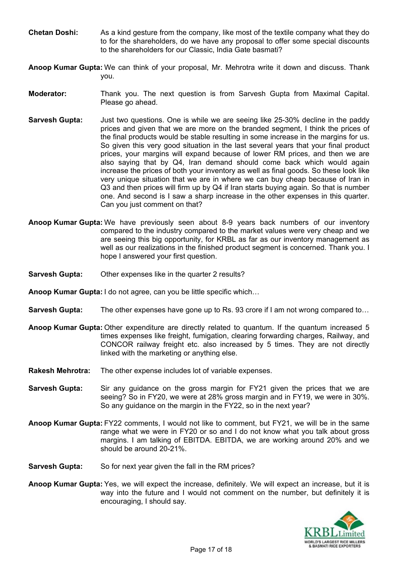- **Chetan Doshi:** As a kind gesture from the company, like most of the textile company what they do to for the shareholders, do we have any proposal to offer some special discounts to the shareholders for our Classic, India Gate basmati?
- **Anoop Kumar Gupta:** We can think of your proposal, Mr. Mehrotra write it down and discuss. Thank you.
- **Moderator:** Thank you. The next question is from Sarvesh Gupta from Maximal Capital. Please go ahead.
- **Sarvesh Gupta:** Just two questions. One is while we are seeing like 25-30% decline in the paddy prices and given that we are more on the branded segment, I think the prices of the final products would be stable resulting in some increase in the margins for us. So given this very good situation in the last several years that your final product prices, your margins will expand because of lower RM prices, and then we are also saying that by Q4, Iran demand should come back which would again increase the prices of both your inventory as well as final goods. So these look like very unique situation that we are in where we can buy cheap because of Iran in Q3 and then prices will firm up by Q4 if Iran starts buying again. So that is number one. And second is I saw a sharp increase in the other expenses in this quarter. Can you just comment on that?
- **Anoop Kumar Gupta:** We have previously seen about 8-9 years back numbers of our inventory compared to the industry compared to the market values were very cheap and we are seeing this big opportunity, for KRBL as far as our inventory management as well as our realizations in the finished product segment is concerned. Thank you. I hope I answered your first question.
- **Sarvesh Gupta:** Other expenses like in the quarter 2 results?
- **Anoop Kumar Gupta:** I do not agree, can you be little specific which…
- **Sarvesh Gupta:** The other expenses have gone up to Rs. 93 crore if I am not wrong compared to…
- **Anoop Kumar Gupta:** Other expenditure are directly related to quantum. If the quantum increased 5 times expenses like freight, fumigation, clearing forwarding charges, Railway, and CONCOR railway freight etc. also increased by 5 times. They are not directly linked with the marketing or anything else.
- **Rakesh Mehrotra:** The other expense includes lot of variable expenses.
- **Sarvesh Gupta:** Sir any guidance on the gross margin for FY21 given the prices that we are seeing? So in FY20, we were at 28% gross margin and in FY19, we were in 30%. So any guidance on the margin in the FY22, so in the next year?
- **Anoop Kumar Gupta:** FY22 comments, I would not like to comment, but FY21, we will be in the same range what we were in FY20 or so and I do not know what you talk about gross margins. I am talking of EBITDA. EBITDA, we are working around 20% and we should be around 20-21%.
- **Sarvesh Gupta:** So for next year given the fall in the RM prices?
- **Anoop Kumar Gupta:** Yes, we will expect the increase, definitely. We will expect an increase, but it is way into the future and I would not comment on the number, but definitely it is encouraging, I should say.